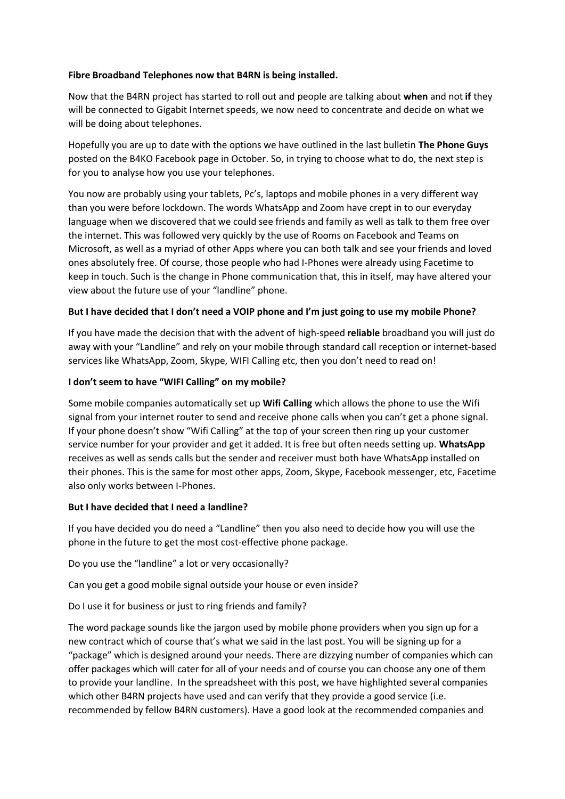## **Fibre Broadband Telephones now that B4RN is being installed.**

Now that the B4RN project has started to roll out and people are talking about **when** and not **if** they will be connected to Gigabit Internet speeds, we now need to concentrate and decide on what we will be doing about telephones.

Hopefully you are up to date with the options we have outlined in the last bulletin **The Phone Guys** posted on the B4KO Facebook page in October. So, in trying to choose what to do, the next step is for you to analyse how you use your telephones.

You now are probably using your tablets, Pc's, laptops and mobile phones in a very different way than you were before lockdown. The words WhatsApp and Zoom have crept in to our everyday language when we discovered that we could see friends and family as well as talk to them free over the internet. This was followed very quickly by the use of Rooms on Facebook and Teams on Microsoft, as well as a myriad of other Apps where you can both talk and see your friends and loved ones absolutely free. Of course, those people who had I-Phones were already using Facetime to keep in touch. Such is the change in Phone communication that, this in itself, may have altered your view about the future use of your "landline" phone.

## **But I have decided that I don't need a VOIP phone and I'm just going to use my mobile Phone?**

If you have made the decision that with the advent of high-speed **reliable** broadband you will just do away with your "Landline" and rely on your mobile through standard call reception or internet-based services like WhatsApp, Zoom, Skype, WIFI Calling etc, then you don't need to read on!

## **I don't seem to have "WIFI Calling" on my mobile?**

Some mobile companies automatically set up **Wifi Calling** which allows the phone to use the Wifi signal from your internet router to send and receive phone calls when you can't get a phone signal. If your phone doesn't show "Wifi Calling" at the top of your screen then ring up your customer service number for your provider and get it added. It is free but often needs setting up. **WhatsApp** receives as well as sends calls but the sender and receiver must both have WhatsApp installed on their phones. This is the same for most other apps, Zoom, Skype, Facebook messenger, etc, Facetime also only works between I-Phones.

### **But I have decided that I need a landline?**

If you have decided you do need a "Landline" then you also need to decide how you will use the phone in the future to get the most cost-effective phone package.

Do you use the "landline" a lot or very occasionally?

Can you get a good mobile signal outside your house or even inside?

Do I use it for business or just to ring friends and family?

The word package sounds like the jargon used by mobile phone providers when you sign up for a new contract which of course that's what we said in the last post. You will be signing up for a "package" which is designed around your needs. There are dizzying number of companies which can offer packages which will cater for all of your needs and of course you can choose any one of them to provide your landline. In the spreadsheet with this post, we have highlighted several companies which other B4RN projects have used and can verify that they provide a good service (i.e. recommended by fellow B4RN customers). Have a good look at the recommended companies and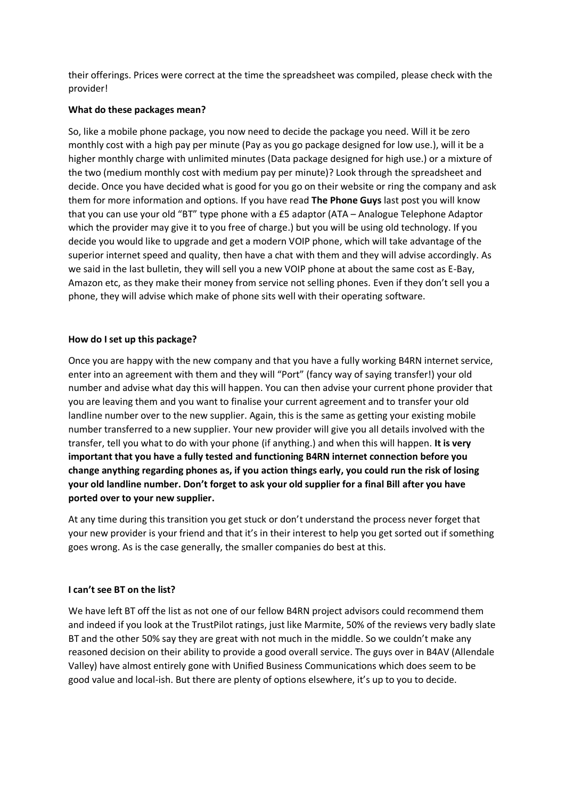their offerings. Prices were correct at the time the spreadsheet was compiled, please check with the provider!

### **What do these packages mean?**

So, like a mobile phone package, you now need to decide the package you need. Will it be zero monthly cost with a high pay per minute (Pay as you go package designed for low use.), will it be a higher monthly charge with unlimited minutes (Data package designed for high use.) or a mixture of the two (medium monthly cost with medium pay per minute)? Look through the spreadsheet and decide. Once you have decided what is good for you go on their website or ring the company and ask them for more information and options. If you have read **The Phone Guys** last post you will know that you can use your old "BT" type phone with a £5 adaptor (ATA – Analogue Telephone Adaptor which the provider may give it to you free of charge.) but you will be using old technology. If you decide you would like to upgrade and get a modern VOIP phone, which will take advantage of the superior internet speed and quality, then have a chat with them and they will advise accordingly. As we said in the last bulletin, they will sell you a new VOIP phone at about the same cost as E-Bay, Amazon etc, as they make their money from service not selling phones. Even if they don't sell you a phone, they will advise which make of phone sits well with their operating software.

## **How do I set up this package?**

Once you are happy with the new company and that you have a fully working B4RN internet service, enter into an agreement with them and they will "Port" (fancy way of saying transfer!) your old number and advise what day this will happen. You can then advise your current phone provider that you are leaving them and you want to finalise your current agreement and to transfer your old landline number over to the new supplier. Again, this is the same as getting your existing mobile number transferred to a new supplier. Your new provider will give you all details involved with the transfer, tell you what to do with your phone (if anything.) and when this will happen. **It is very important that you have a fully tested and functioning B4RN internet connection before you change anything regarding phones as, if you action things early, you could run the risk of losing your old landline number. Don't forget to ask your old supplier for a final Bill after you have ported over to your new supplier.**

At any time during this transition you get stuck or don't understand the process never forget that your new provider is your friend and that it's in their interest to help you get sorted out if something goes wrong. As is the case generally, the smaller companies do best at this.

# **I can't see BT on the list?**

We have left BT off the list as not one of our fellow B4RN project advisors could recommend them and indeed if you look at the TrustPilot ratings, just like Marmite, 50% of the reviews very badly slate BT and the other 50% say they are great with not much in the middle. So we couldn't make any reasoned decision on their ability to provide a good overall service. The guys over in B4AV (Allendale Valley) have almost entirely gone with Unified Business Communications which does seem to be good value and local-ish. But there are plenty of options elsewhere, it's up to you to decide.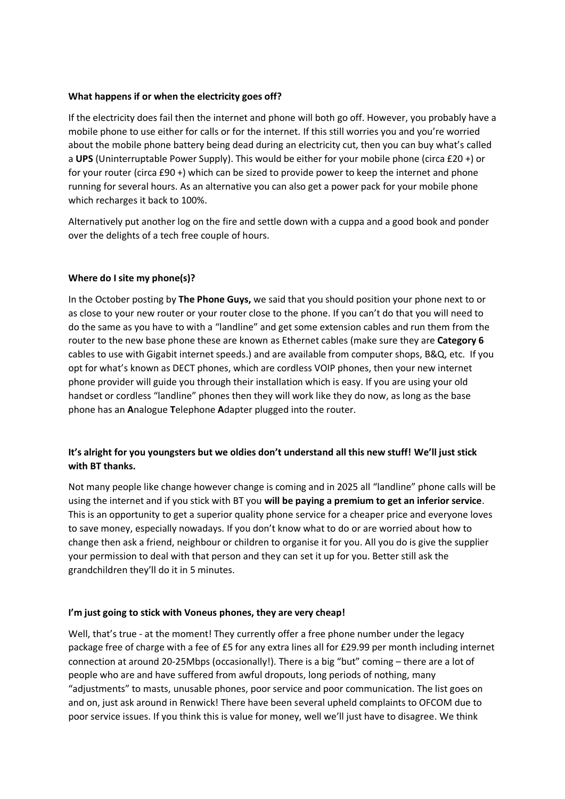## **What happens if or when the electricity goes off?**

If the electricity does fail then the internet and phone will both go off. However, you probably have a mobile phone to use either for calls or for the internet. If this still worries you and you're worried about the mobile phone battery being dead during an electricity cut, then you can buy what's called a **UPS** (Uninterruptable Power Supply). This would be either for your mobile phone (circa £20 +) or for your router (circa £90 +) which can be sized to provide power to keep the internet and phone running for several hours. As an alternative you can also get a power pack for your mobile phone which recharges it back to 100%.

Alternatively put another log on the fire and settle down with a cuppa and a good book and ponder over the delights of a tech free couple of hours.

## **Where do I site my phone(s)?**

In the October posting by **The Phone Guys,** we said that you should position your phone next to or as close to your new router or your router close to the phone. If you can't do that you will need to do the same as you have to with a "landline" and get some extension cables and run them from the router to the new base phone these are known as Ethernet cables (make sure they are **Category 6** cables to use with Gigabit internet speeds.) and are available from computer shops, B&Q, etc. If you opt for what's known as DECT phones, which are cordless VOIP phones, then your new internet phone provider will guide you through their installation which is easy. If you are using your old handset or cordless "landline" phones then they will work like they do now, as long as the base phone has an **A**nalogue **T**elephone **A**dapter plugged into the router.

# **It's alright for you youngsters but we oldies don't understand all this new stuff! We'll just stick with BT thanks.**

Not many people like change however change is coming and in 2025 all "landline" phone calls will be using the internet and if you stick with BT you **will be paying a premium to get an inferior service**. This is an opportunity to get a superior quality phone service for a cheaper price and everyone loves to save money, especially nowadays. If you don't know what to do or are worried about how to change then ask a friend, neighbour or children to organise it for you. All you do is give the supplier your permission to deal with that person and they can set it up for you. Better still ask the grandchildren they'll do it in 5 minutes.

### **I'm just going to stick with Voneus phones, they are very cheap!**

Well, that's true - at the moment! They currently offer a free phone number under the legacy package free of charge with a fee of £5 for any extra lines all for £29.99 per month including internet connection at around 20-25Mbps (occasionally!). There is a big "but" coming – there are a lot of people who are and have suffered from awful dropouts, long periods of nothing, many "adjustments" to masts, unusable phones, poor service and poor communication. The list goes on and on, just ask around in Renwick! There have been several upheld complaints to OFCOM due to poor service issues. If you think this is value for money, well we'll just have to disagree. We think